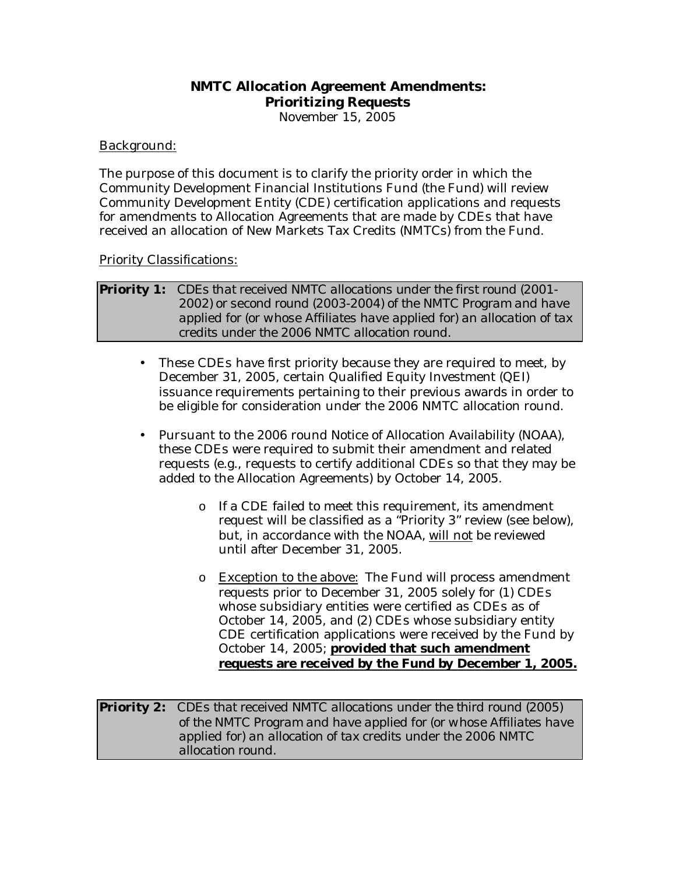# **NMTC Allocation Agreement Amendments: Prioritizing Requests**

November 15, 2005

## Background:

The purpose of this document is to clarify the priority order in which the Community Development Financial Institutions Fund (the Fund) will review Community Development Entity (CDE) certification applications and requests for amendments to Allocation Agreements that are made by CDEs that have received an allocation of New Markets Tax Credits (NMTCs) from the Fund.

## Priority Classifications:

### *Priority 1: CDEs that received NMTC allocations under the first round (2001- 2002) or second round (2003-2004) of the NMTC Program and have applied for (or whose Affiliates have applied for) an allocation of tax credits under the 2006 NMTC allocation round.*

- These CDEs have first priority because they are required to meet, by December 31, 2005, certain Qualified Equity Investment (QEI) issuance requirements pertaining to their previous awards in order to be eligible for consideration under the 2006 NMTC allocation round.
- Pursuant to the 2006 round Notice of Allocation Availability (NOAA), these CDEs were required to submit their amendment and related requests (e.g., requests to certify additional CDEs so that they may be added to the Allocation Agreements) by October 14, 2005.
	- o If a CDE failed to meet this requirement, its amendment request will be classified as a "Priority 3" review (see below), but, in accordance with the NOAA, will not be reviewed until after December 31, 2005.
	- o Exception to the above: The Fund will process amendment requests prior to December 31, 2005 solely for (1) CDEs whose subsidiary entities were certified as CDEs as of October 14, 2005, and (2) CDEs whose subsidiary entity CDE certification applications were received by the Fund by October 14, 2005; **provided that such amendment requests are received by the Fund by December 1, 2005.**

*Priority 2: CDEs that received NMTC allocations under the third round (2005) of the NMTC Program and have applied for (or whose Affiliates have applied for) an allocation of tax credits under the 2006 NMTC allocation round.*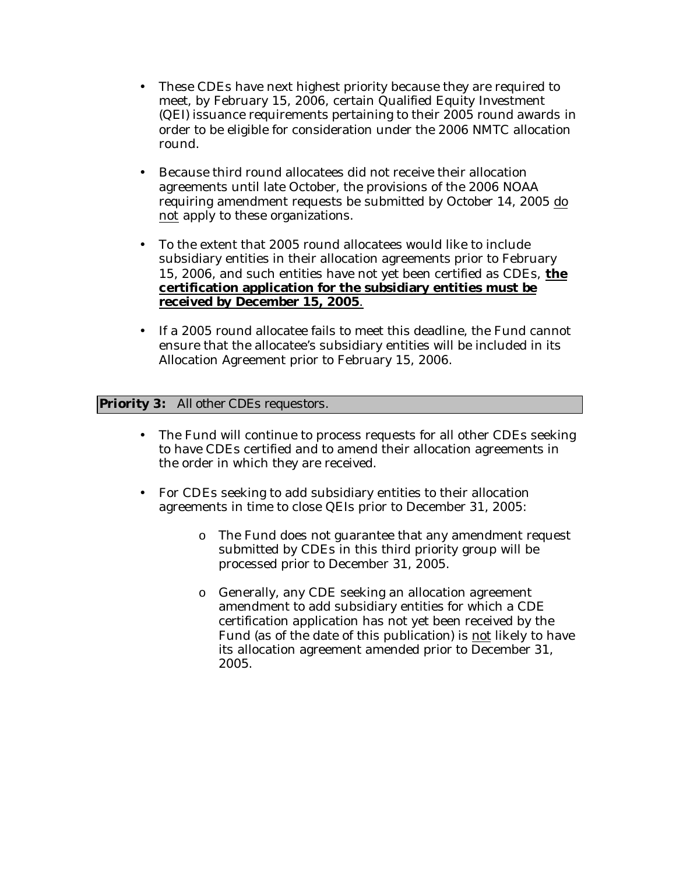- These CDEs have next highest priority because they are required to meet, by February 15, 2006, certain Qualified Equity Investment (QEI) issuance requirements pertaining to their 2005 round awards in order to be eligible for consideration under the 2006 NMTC allocation round.
- Because third round allocatees did not receive their allocation agreements until late October, the provisions of the 2006 NOAA requiring amendment requests be submitted by October 14, 2005 do not apply to these organizations.
- To the extent that 2005 round allocatees would like to include subsidiary entities in their allocation agreements prior to February 15, 2006, and such entities have not yet been certified as CDEs, **the certification application for the subsidiary entities must be received by December 15, 2005**.
- If a 2005 round allocatee fails to meet this deadline, the Fund cannot ensure that the allocatee's subsidiary entities will be included in its Allocation Agreement prior to February 15, 2006.

## *Priority 3: All other CDEs requestors.*

- The Fund will continue to process requests for all other CDEs seeking to have CDEs certified and to amend their allocation agreements in the order in which they are received.
- For CDEs seeking to add subsidiary entities to their allocation agreements in time to close QEIs prior to December 31, 2005:
	- o The Fund does not guarantee that any amendment request submitted by CDEs in this third priority group will be processed prior to December 31, 2005.
	- o Generally, any CDE seeking an allocation agreement amendment to add subsidiary entities for which a CDE certification application has not yet been received by the Fund (as of the date of this publication) is not likely to have its allocation agreement amended prior to December 31, 2005.